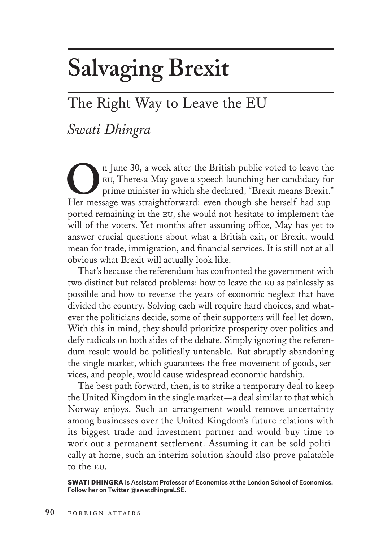# **Salvaging Brexit**

## The Right Way to Leave the EU

### *Swati Dhingra*

<sup>n</sup> June 30, a week after the British public voted to leave the EU, Theresa May gave a speech launching her candidacy for prime minister in which she declared, "Brexit means Brexit." eu, Theresa May gave a speech launching her candidacy for prime minister in which she declared, "Brexit means Brexit." Her message was straightforward: even though she herself had supported remaining in the eu, she would not hesitate to implement the will of the voters. Yet months after assuming office, May has yet to answer crucial questions about what a British exit, or Brexit, would mean for trade, immigration, and financial services. It is still not at all obvious what Brexit will actually look like.

That's because the referendum has confronted the government with two distinct but related problems: how to leave the eu as painlessly as possible and how to reverse the years of economic neglect that have divided the country. Solving each will require hard choices, and whatever the politicians decide, some of their supporters will feel let down. With this in mind, they should prioritize prosperity over politics and defy radicals on both sides of the debate. Simply ignoring the referendum result would be politically untenable. But abruptly abandoning the single market, which guarantees the free movement of goods, services, and people, would cause widespread economic hardship.

The best path forward, then, is to strike a temporary deal to keep the United Kingdom in the single market—a deal similar to that which Norway enjoys. Such an arrangement would remove uncertainty among businesses over the United Kingdom's future relations with its biggest trade and investment partner and would buy time to work out a permanent settlement. Assuming it can be sold politically at home, such an interim solution should also prove palatable to the eu.

SWATI DHINGRA is Assistant Professor of Economics at the London School of Economics. Follow her on Twitter @swatdhingraLSE.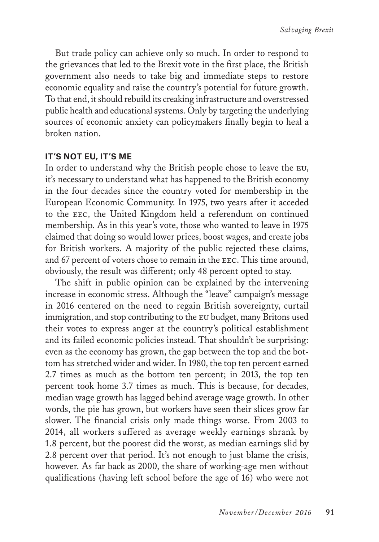But trade policy can achieve only so much. In order to respond to the grievances that led to the Brexit vote in the first place, the British government also needs to take big and immediate steps to restore economic equality and raise the country's potential for future growth. To that end, it should rebuild its creaking infrastructure and overstressed public health and educational systems. Only by targeting the underlying sources of economic anxiety can policymakers finally begin to heal a broken nation.

#### **IT'S NOT EU, IT'S ME**

In order to understand why the British people chose to leave the eu, it's necessary to understand what has happened to the British economy in the four decades since the country voted for membership in the European Economic Community. In 1975, two years after it acceded to the eec, the United Kingdom held a referendum on continued membership. As in this year's vote, those who wanted to leave in 1975 claimed that doing so would lower prices, boost wages, and create jobs for British workers. A majority of the public rejected these claims, and 67 percent of voters chose to remain in the eec. This time around, obviously, the result was different; only 48 percent opted to stay.

The shift in public opinion can be explained by the intervening increase in economic stress. Although the "leave" campaign's message in 2016 centered on the need to regain British sovereignty, curtail immigration, and stop contributing to the eu budget, many Britons used their votes to express anger at the country's political establishment and its failed economic policies instead. That shouldn't be surprising: even as the economy has grown, the gap between the top and the bottom has stretched wider and wider. In 1980, the top ten percent earned 2.7 times as much as the bottom ten percent; in 2013, the top ten percent took home 3.7 times as much. This is because, for decades, median wage growth has lagged behind average wage growth. In other words, the pie has grown, but workers have seen their slices grow far slower. The financial crisis only made things worse. From 2003 to 2014, all workers suffered as average weekly earnings shrank by 1.8 percent, but the poorest did the worst, as median earnings slid by 2.8 percent over that period. It's not enough to just blame the crisis, however. As far back as 2000, the share of working-age men without qualifications (having left school before the age of 16) who were not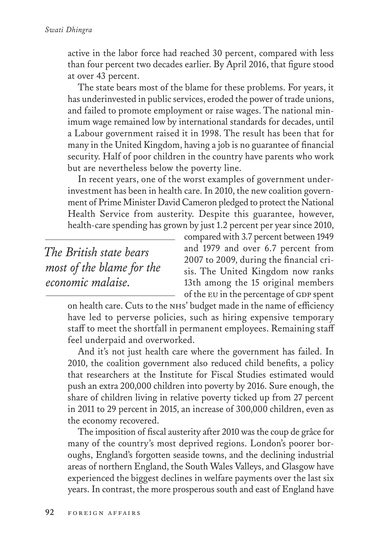active in the labor force had reached 30 percent, compared with less than four percent two decades earlier. By April 2016, that figure stood at over 43 percent.

The state bears most of the blame for these problems. For years, it has underinvested in public services, eroded the power of trade unions, and failed to promote employment or raise wages. The national minimum wage remained low by international standards for decades, until a Labour government raised it in 1998. The result has been that for many in the United Kingdom, having a job is no guarantee of financial security. Half of poor children in the country have parents who work but are nevertheless below the poverty line.

In recent years, one of the worst examples of government underinvestment has been in health care. In 2010, the new coalition government of Prime Minister David Cameron pledged to protect the National Health Service from austerity. Despite this guarantee, however, health-care spending has grown by just 1.2 percent per year since 2010,

*The British state bears most of the blame for the economic malaise.*

compared with 3.7 percent between 1949 and 1979 and over 6.7 percent from 2007 to 2009, during the financial crisis. The United Kingdom now ranks 13th among the 15 original members of the EU in the percentage of GDP spent

on health care. Cuts to the NHS' budget made in the name of efficiency have led to perverse policies, such as hiring expensive temporary staff to meet the shortfall in permanent employees. Remaining staff feel underpaid and overworked.

And it's not just health care where the government has failed. In 2010, the coalition government also reduced child benefits, a policy that researchers at the Institute for Fiscal Studies estimated would push an extra 200,000 children into poverty by 2016. Sure enough, the share of children living in relative poverty ticked up from 27 percent in 2011 to 29 percent in 2015, an increase of 300,000 children, even as the economy recovered.

The imposition of fiscal austerity after 2010 was the coup de grâce for many of the country's most deprived regions. London's poorer boroughs, England's forgotten seaside towns, and the declining industrial areas of northern England, the South Wales Valleys, and Glasgow have experienced the biggest declines in welfare payments over the last six years. In contrast, the more prosperous south and east of England have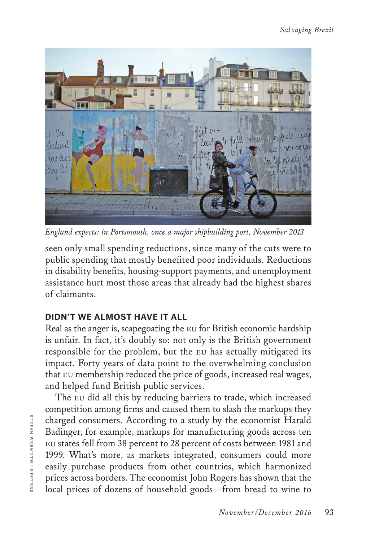

*England expects: in Portsmouth, once a major shipbuilding port, November 2013*

seen only small spending reductions, since many of the cuts were to public spending that mostly benefited poor individuals. Reductions in disability benefits, housing-support payments, and unemployment assistance hurt most those areas that already had the highest shares of claimants.

#### **DIDN'T WE ALMOST HAVE IT ALL**

Real as the anger is, scapegoating the eu for British economic hardship is unfair. In fact, it's doubly so: not only is the British government responsible for the problem, but the eu has actually mitigated its impact. Forty years of data point to the overwhelming conclusion that eu membership reduced the price of goods, increased real wages, and helped fund British public services.

The EU did all this by reducing barriers to trade, which increased competition among firms and caused them to slash the markups they charged consumers. According to a study by the economist Harald Badinger, for example, markups for manufacturing goods across ten eu states fell from 38 percent to 28 percent of costs between 1981 and 1999. What's more, as markets integrated, consumers could more easily purchase products from other countries, which harmonized prices across borders. The economist John Rogers has shown that the local prices of dozens of household goods—from bread to wine to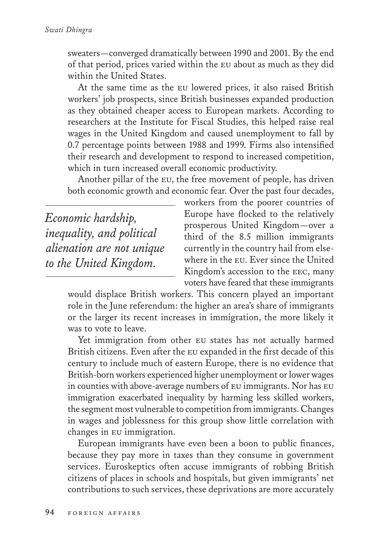sweaters—converged dramatically between 1990 and 2001. By the end of that period, prices varied within the eu about as much as they did within the United States.

At the same time as the eu lowered prices, it also raised British workers' job prospects, since British businesses expanded production as they obtained cheaper access to European markets. According to researchers at the Institute for Fiscal Studies, this helped raise real wages in the United Kingdom and caused unemployment to fall by 0.7 percentage points between 1988 and 1999. Firms also intensified their research and development to respond to increased competition, which in turn increased overall economic productivity.

Another pillar of the eu, the free movement of people, has driven both economic growth and economic fear. Over the past four decades,

*Economic hardship, inequality, and political alienation are not unique to the United Kingdom.*

workers from the poorer countries of Europe have flocked to the relatively prosperous United Kingdom—over a third of the 8.5 million immigrants currently in the country hail from elsewhere in the eu. Ever since the United Kingdom's accession to the EEC, many voters have feared that these immigrants

would displace British workers. This concern played an important role in the June referendum: the higher an area's share of immigrants or the larger its recent increases in immigration, the more likely it was to vote to leave.

Yet immigration from other EU states has not actually harmed British citizens. Even after the eu expanded in the first decade of this century to include much of eastern Europe, there is no evidence that British-born workers experienced higher unemployment or lower wages in counties with above-average numbers of EU immigrants. Nor has EU immigration exacerbated inequality by harming less skilled workers, the segment most vulnerable to competition from immigrants. Changes in wages and joblessness for this group show little correlation with changes in eu immigration.

European immigrants have even been a boon to public finances, because they pay more in taxes than they consume in government services. Euroskeptics often accuse immigrants of robbing British citizens of places in schools and hospitals, but given immigrants' net contributions to such services, these deprivations are more accurately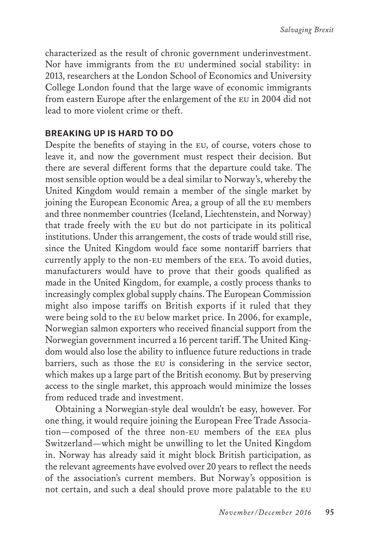characterized as the result of chronic government underinvestment. Nor have immigrants from the eu undermined social stability: in 2013, researchers at the London School of Economics and University College London found that the large wave of economic immigrants from eastern Europe after the enlargement of the eu in 2004 did not lead to more violent crime or theft.

#### **BREAKING UP IS HARD TO DO**

Despite the benefits of staying in the eu, of course, voters chose to leave it, and now the government must respect their decision. But there are several different forms that the departure could take. The most sensible option would be a deal similar to Norway's, whereby the United Kingdom would remain a member of the single market by joining the European Economic Area, a group of all the eu members and three nonmember countries (Iceland, Liechtenstein, and Norway) that trade freely with the eu but do not participate in its political institutions. Under this arrangement, the costs of trade would still rise, since the United Kingdom would face some nontariff barriers that currently apply to the non-eu members of the eea. To avoid duties, manufacturers would have to prove that their goods qualified as made in the United Kingdom, for example, a costly process thanks to increasingly complex global supply chains. The European Commission might also impose tariffs on British exports if it ruled that they were being sold to the eu below market price. In 2006, for example, Norwegian salmon exporters who received financial support from the Norwegian government incurred a 16 percent tariff. The United Kingdom would also lose the ability to influence future reductions in trade barriers, such as those the eu is considering in the service sector, which makes up a large part of the British economy. But by preserving access to the single market, this approach would minimize the losses from reduced trade and investment.

Obtaining a Norwegian-style deal wouldn't be easy, however. For one thing, it would require joining the European Free Trade Association—composed of the three non-eu members of the eea plus Switzerland—which might be unwilling to let the United Kingdom in. Norway has already said it might block British participation, as the relevant agreements have evolved over 20 years to reflect the needs of the association's current members. But Norway's opposition is not certain, and such a deal should prove more palatable to the eu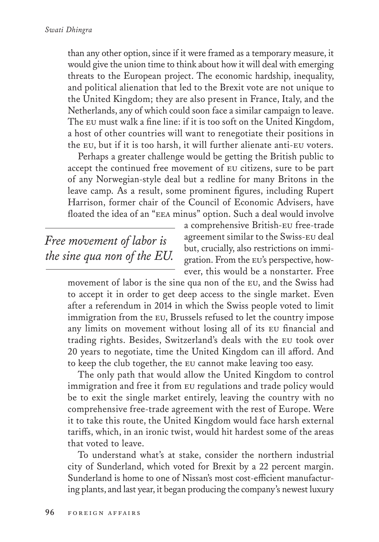than any other option, since if it were framed as a temporary measure, it would give the union time to think about how it will deal with emerging threats to the European project. The economic hardship, inequality, and political alienation that led to the Brexit vote are not unique to the United Kingdom; they are also present in France, Italy, and the Netherlands, any of which could soon face a similar campaign to leave. The eu must walk a fine line: if it is too soft on the United Kingdom, a host of other countries will want to renegotiate their positions in the eu, but if it is too harsh, it will further alienate anti-eu voters.

Perhaps a greater challenge would be getting the British public to accept the continued free movement of eu citizens, sure to be part of any Norwegian-style deal but a redline for many Britons in the leave camp. As a result, some prominent figures, including Rupert Harrison, former chair of the Council of Economic Advisers, have floated the idea of an "eea minus" option. Such a deal would involve

*Free movement of labor is the sine qua non of the EU.*

a comprehensive British-eu free-trade agreement similar to the Swiss-eu deal but, crucially, also restrictions on immigration. From the eu's perspective, however, this would be a nonstarter. Free

movement of labor is the sine qua non of the eu, and the Swiss had to accept it in order to get deep access to the single market. Even after a referendum in 2014 in which the Swiss people voted to limit immigration from the eu, Brussels refused to let the country impose any limits on movement without losing all of its eu financial and trading rights. Besides, Switzerland's deals with the eu took over 20 years to negotiate, time the United Kingdom can ill afford. And to keep the club together, the eu cannot make leaving too easy.

The only path that would allow the United Kingdom to control immigration and free it from eu regulations and trade policy would be to exit the single market entirely, leaving the country with no comprehensive free-trade agreement with the rest of Europe. Were it to take this route, the United Kingdom would face harsh external tariffs, which, in an ironic twist, would hit hardest some of the areas that voted to leave.

To understand what's at stake, consider the northern industrial city of Sunderland, which voted for Brexit by a 22 percent margin. Sunderland is home to one of Nissan's most cost-efficient manufacturing plants, and last year, it began producing the company's newest luxury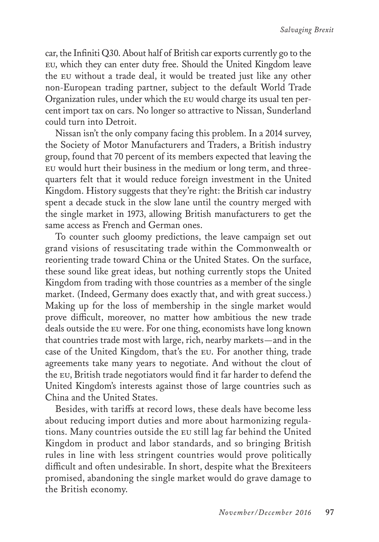car, the Infiniti Q30. About half of British car exports currently go to the eu, which they can enter duty free. Should the United Kingdom leave the eu without a trade deal, it would be treated just like any other non-European trading partner, subject to the default World Trade Organization rules, under which the eu would charge its usual ten percent import tax on cars. No longer so attractive to Nissan, Sunderland could turn into Detroit.

Nissan isn't the only company facing this problem. In a 2014 survey, the Society of Motor Manufacturers and Traders, a British industry group, found that 70 percent of its members expected that leaving the eu would hurt their business in the medium or long term, and threequarters felt that it would reduce foreign investment in the United Kingdom. History suggests that they're right: the British car industry spent a decade stuck in the slow lane until the country merged with the single market in 1973, allowing British manufacturers to get the same access as French and German ones.

To counter such gloomy predictions, the leave campaign set out grand visions of resuscitating trade within the Commonwealth or reorienting trade toward China or the United States. On the surface, these sound like great ideas, but nothing currently stops the United Kingdom from trading with those countries as a member of the single market. (Indeed, Germany does exactly that, and with great success.) Making up for the loss of membership in the single market would prove difficult, moreover, no matter how ambitious the new trade deals outside the eu were. For one thing, economists have long known that countries trade most with large, rich, nearby markets—and in the case of the United Kingdom, that's the eu. For another thing, trade agreements take many years to negotiate. And without the clout of the eu, British trade negotiators would find it far harder to defend the United Kingdom's interests against those of large countries such as China and the United States.

Besides, with tariffs at record lows, these deals have become less about reducing import duties and more about harmonizing regulations. Many countries outside the eu still lag far behind the United Kingdom in product and labor standards, and so bringing British rules in line with less stringent countries would prove politically difficult and often undesirable. In short, despite what the Brexiteers promised, abandoning the single market would do grave damage to the British economy.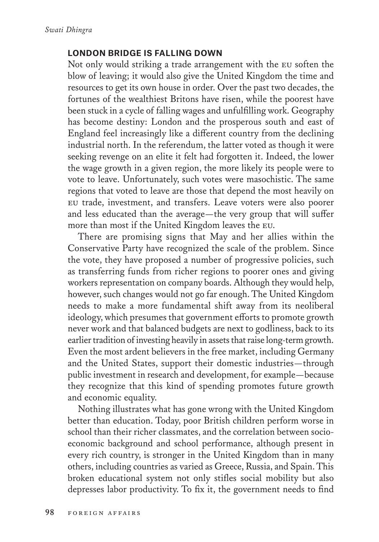#### **LONDON BRIDGE IS FALLING DOWN**

Not only would striking a trade arrangement with the eu soften the blow of leaving; it would also give the United Kingdom the time and resources to get its own house in order. Over the past two decades, the fortunes of the wealthiest Britons have risen, while the poorest have been stuck in a cycle of falling wages and unfulfilling work. Geography has become destiny: London and the prosperous south and east of England feel increasingly like a different country from the declining industrial north. In the referendum, the latter voted as though it were seeking revenge on an elite it felt had forgotten it. Indeed, the lower the wage growth in a given region, the more likely its people were to vote to leave. Unfortunately, such votes were masochistic. The same regions that voted to leave are those that depend the most heavily on eu trade, investment, and transfers. Leave voters were also poorer and less educated than the average—the very group that will suffer more than most if the United Kingdom leaves the eu.

There are promising signs that May and her allies within the Conservative Party have recognized the scale of the problem. Since the vote, they have proposed a number of progressive policies, such as transferring funds from richer regions to poorer ones and giving workers representation on company boards. Although they would help, however, such changes would not go far enough. The United Kingdom needs to make a more fundamental shift away from its neoliberal ideology, which presumes that government efforts to promote growth never work and that balanced budgets are next to godliness, back to its earlier tradition of investing heavily in assets that raise long-term growth. Even the most ardent believers in the free market, including Germany and the United States, support their domestic industries—through public investment in research and development, for example—because they recognize that this kind of spending promotes future growth and economic equality.

Nothing illustrates what has gone wrong with the United Kingdom better than education. Today, poor British children perform worse in school than their richer classmates, and the correlation between socioeconomic background and school performance, although present in every rich country, is stronger in the United Kingdom than in many others, including countries as varied as Greece, Russia, and Spain. This broken educational system not only stifles social mobility but also depresses labor productivity. To fix it, the government needs to find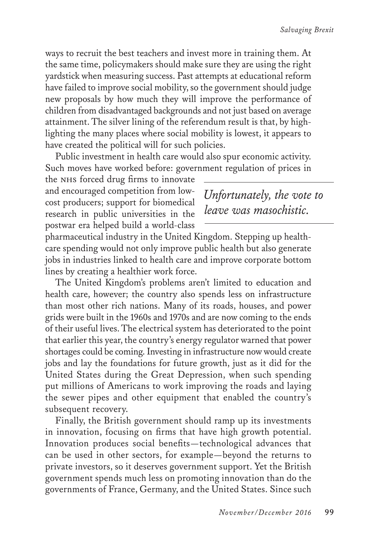ways to recruit the best teachers and invest more in training them. At the same time, policymakers should make sure they are using the right yardstick when measuring success. Past attempts at educational reform have failed to improve social mobility, so the government should judge new proposals by how much they will improve the performance of children from disadvantaged backgrounds and not just based on average attainment. The silver lining of the referendum result is that, by highlighting the many places where social mobility is lowest, it appears to have created the political will for such policies.

Public investment in health care would also spur economic activity. Such moves have worked before: government regulation of prices in

the NHS forced drug firms to innovate and encouraged competition from lowcost producers; support for biomedical research in public universities in the postwar era helped build a world-class

*Unfortunately, the vote to leave was masochistic.*

pharmaceutical industry in the United Kingdom. Stepping up healthcare spending would not only improve public health but also generate jobs in industries linked to health care and improve corporate bottom lines by creating a healthier work force.

The United Kingdom's problems aren't limited to education and health care, however; the country also spends less on infrastructure than most other rich nations. Many of its roads, houses, and power grids were built in the 1960s and 1970s and are now coming to the ends of their useful lives. The electrical system has deteriorated to the point that earlier this year, the country's energy regulator warned that power shortages could be coming. Investing in infrastructure now would create jobs and lay the foundations for future growth, just as it did for the United States during the Great Depression, when such spending put millions of Americans to work improving the roads and laying the sewer pipes and other equipment that enabled the country's subsequent recovery.

Finally, the British government should ramp up its investments in innovation, focusing on firms that have high growth potential. Innovation produces social benefits—technological advances that can be used in other sectors, for example—beyond the returns to private investors, so it deserves government support. Yet the British government spends much less on promoting innovation than do the governments of France, Germany, and the United States. Since such